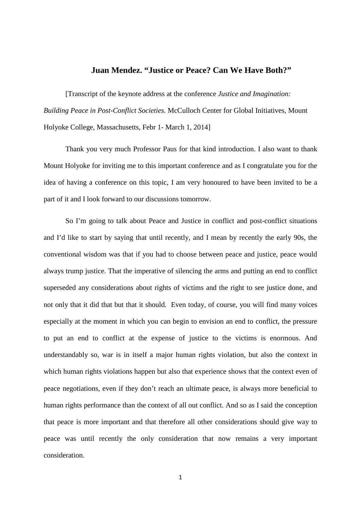## **Juan Mendez. "Justice or Peace? Can We Have Both?"**

[Transcript of the keynote address at the conference *Justice and Imagination: Building Peace in Post-Conflict Societies.* McCulloch Center for Global Initiatives, Mount Holyoke College, Massachusetts, Febr 1- March 1, 2014]

Thank you very much Professor Paus for that kind introduction. I also want to thank Mount Holyoke for inviting me to this important conference and as I congratulate you for the idea of having a conference on this topic, I am very honoured to have been invited to be a part of it and I look forward to our discussions tomorrow.

So I'm going to talk about Peace and Justice in conflict and post-conflict situations and I'd like to start by saying that until recently, and I mean by recently the early 90s, the conventional wisdom was that if you had to choose between peace and justice, peace would always trump justice. That the imperative of silencing the arms and putting an end to conflict superseded any considerations about rights of victims and the right to see justice done, and not only that it did that but that it should. Even today, of course, you will find many voices especially at the moment in which you can begin to envision an end to conflict, the pressure to put an end to conflict at the expense of justice to the victims is enormous. And understandably so, war is in itself a major human rights violation, but also the context in which human rights violations happen but also that experience shows that the context even of peace negotiations, even if they don't reach an ultimate peace, is always more beneficial to human rights performance than the context of all out conflict. And so as I said the conception that peace is more important and that therefore all other considerations should give way to peace was until recently the only consideration that now remains a very important consideration.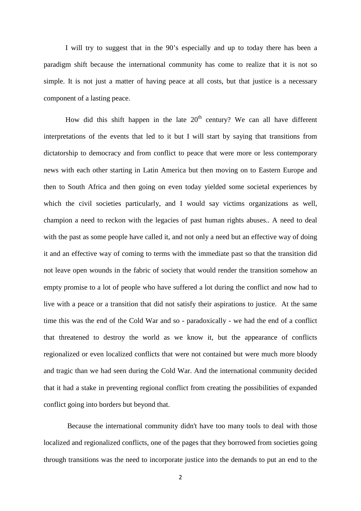I will try to suggest that in the 90's especially and up to today there has been a paradigm shift because the international community has come to realize that it is not so simple. It is not just a matter of having peace at all costs, but that justice is a necessary component of a lasting peace.

How did this shift happen in the late  $20<sup>th</sup>$  century? We can all have different interpretations of the events that led to it but I will start by saying that transitions from dictatorship to democracy and from conflict to peace that were more or less contemporary news with each other starting in Latin America but then moving on to Eastern Europe and then to South Africa and then going on even today yielded some societal experiences by which the civil societies particularly, and I would say victims organizations as well, champion a need to reckon with the legacies of past human rights abuses.. A need to deal with the past as some people have called it, and not only a need but an effective way of doing it and an effective way of coming to terms with the immediate past so that the transition did not leave open wounds in the fabric of society that would render the transition somehow an empty promise to a lot of people who have suffered a lot during the conflict and now had to live with a peace or a transition that did not satisfy their aspirations to justice. At the same time this was the end of the Cold War and so - paradoxically - we had the end of a conflict that threatened to destroy the world as we know it, but the appearance of conflicts regionalized or even localized conflicts that were not contained but were much more bloody and tragic than we had seen during the Cold War. And the international community decided that it had a stake in preventing regional conflict from creating the possibilities of expanded conflict going into borders but beyond that.

Because the international community didn't have too many tools to deal with those localized and regionalized conflicts, one of the pages that they borrowed from societies going through transitions was the need to incorporate justice into the demands to put an end to the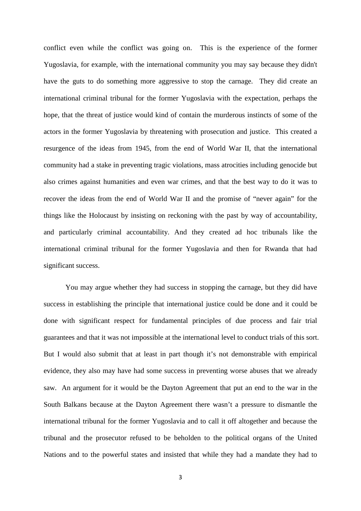conflict even while the conflict was going on. This is the experience of the former Yugoslavia, for example, with the international community you may say because they didn't have the guts to do something more aggressive to stop the carnage. They did create an international criminal tribunal for the former Yugoslavia with the expectation, perhaps the hope, that the threat of justice would kind of contain the murderous instincts of some of the actors in the former Yugoslavia by threatening with prosecution and justice. This created a resurgence of the ideas from 1945, from the end of World War II, that the international community had a stake in preventing tragic violations, mass atrocities including genocide but also crimes against humanities and even war crimes, and that the best way to do it was to recover the ideas from the end of World War II and the promise of "never again" for the things like the Holocaust by insisting on reckoning with the past by way of accountability, and particularly criminal accountability. And they created ad hoc tribunals like the international criminal tribunal for the former Yugoslavia and then for Rwanda that had significant success.

You may argue whether they had success in stopping the carnage, but they did have success in establishing the principle that international justice could be done and it could be done with significant respect for fundamental principles of due process and fair trial guarantees and that it was not impossible at the international level to conduct trials of this sort. But I would also submit that at least in part though it's not demonstrable with empirical evidence, they also may have had some success in preventing worse abuses that we already saw. An argument for it would be the Dayton Agreement that put an end to the war in the South Balkans because at the Dayton Agreement there wasn't a pressure to dismantle the international tribunal for the former Yugoslavia and to call it off altogether and because the tribunal and the prosecutor refused to be beholden to the political organs of the United Nations and to the powerful states and insisted that while they had a mandate they had to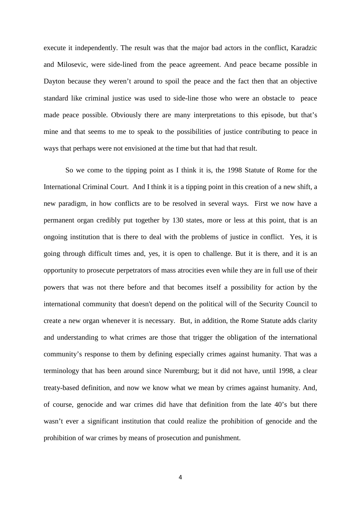execute it independently. The result was that the major bad actors in the conflict, Karadzic and Milosevic, were side-lined from the peace agreement. And peace became possible in Dayton because they weren't around to spoil the peace and the fact then that an objective standard like criminal justice was used to side-line those who were an obstacle to peace made peace possible. Obviously there are many interpretations to this episode, but that's mine and that seems to me to speak to the possibilities of justice contributing to peace in ways that perhaps were not envisioned at the time but that had that result.

So we come to the tipping point as I think it is, the 1998 Statute of Rome for the International Criminal Court. And I think it is a tipping point in this creation of a new shift, a new paradigm, in how conflicts are to be resolved in several ways. First we now have a permanent organ credibly put together by 130 states, more or less at this point, that is an ongoing institution that is there to deal with the problems of justice in conflict. Yes, it is going through difficult times and, yes, it is open to challenge. But it is there, and it is an opportunity to prosecute perpetrators of mass atrocities even while they are in full use of their powers that was not there before and that becomes itself a possibility for action by the international community that doesn't depend on the political will of the Security Council to create a new organ whenever it is necessary. But, in addition, the Rome Statute adds clarity and understanding to what crimes are those that trigger the obligation of the international community's response to them by defining especially crimes against humanity. That was a terminology that has been around since Nuremburg; but it did not have, until 1998, a clear treaty-based definition, and now we know what we mean by crimes against humanity. And, of course, genocide and war crimes did have that definition from the late 40's but there wasn't ever a significant institution that could realize the prohibition of genocide and the prohibition of war crimes by means of prosecution and punishment.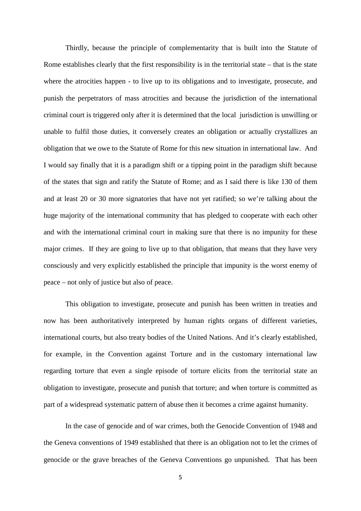Thirdly, because the principle of complementarity that is built into the Statute of Rome establishes clearly that the first responsibility is in the territorial state – that is the state where the atrocities happen - to live up to its obligations and to investigate, prosecute, and punish the perpetrators of mass atrocities and because the jurisdiction of the international criminal court is triggered only after it is determined that the local jurisdiction is unwilling or unable to fulfil those duties, it conversely creates an obligation or actually crystallizes an obligation that we owe to the Statute of Rome for this new situation in international law. And I would say finally that it is a paradigm shift or a tipping point in the paradigm shift because of the states that sign and ratify the Statute of Rome; and as I said there is like 130 of them and at least 20 or 30 more signatories that have not yet ratified; so we're talking about the huge majority of the international community that has pledged to cooperate with each other and with the international criminal court in making sure that there is no impunity for these major crimes. If they are going to live up to that obligation, that means that they have very consciously and very explicitly established the principle that impunity is the worst enemy of peace – not only of justice but also of peace.

This obligation to investigate, prosecute and punish has been written in treaties and now has been authoritatively interpreted by human rights organs of different varieties, international courts, but also treaty bodies of the United Nations. And it's clearly established, for example, in the Convention against Torture and in the customary international law regarding torture that even a single episode of torture elicits from the territorial state an obligation to investigate, prosecute and punish that torture; and when torture is committed as part of a widespread systematic pattern of abuse then it becomes a crime against humanity.

In the case of genocide and of war crimes, both the Genocide Convention of 1948 and the Geneva conventions of 1949 established that there is an obligation not to let the crimes of genocide or the grave breaches of the Geneva Conventions go unpunished. That has been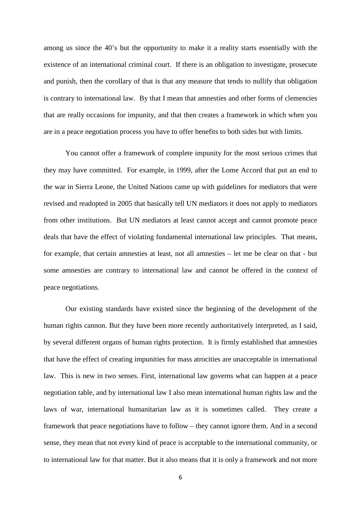among us since the 40's but the opportunity to make it a reality starts essentially with the existence of an international criminal court. If there is an obligation to investigate, prosecute and punish, then the corollary of that is that any measure that tends to nullify that obligation is contrary to international law. By that I mean that amnesties and other forms of clemencies that are really occasions for impunity, and that then creates a framework in which when you are in a peace negotiation process you have to offer benefits to both sides but with limits.

You cannot offer a framework of complete impunity for the most serious crimes that they may have committed. For example, in 1999, after the Lome Accord that put an end to the war in Sierra Leone, the United Nations came up with guidelines for mediators that were revised and readopted in 2005 that basically tell UN mediators it does not apply to mediators from other institutions. But UN mediators at least cannot accept and cannot promote peace deals that have the effect of violating fundamental international law principles. That means, for example, that certain amnesties at least, not all amnesties – let me be clear on that - but some amnesties are contrary to international law and cannot be offered in the context of peace negotiations.

Our existing standards have existed since the beginning of the development of the human rights cannon. But they have been more recently authoritatively interpreted, as I said, by several different organs of human rights protection. It is firmly established that amnesties that have the effect of creating impunities for mass atrocities are unacceptable in international law. This is new in two senses. First, international law governs what can happen at a peace negotiation table, and by international law I also mean international human rights law and the laws of war, international humanitarian law as it is sometimes called. They create a framework that peace negotiations have to follow – they cannot ignore them. And in a second sense, they mean that not every kind of peace is acceptable to the international community, or to international law for that matter. But it also means that it is only a framework and not more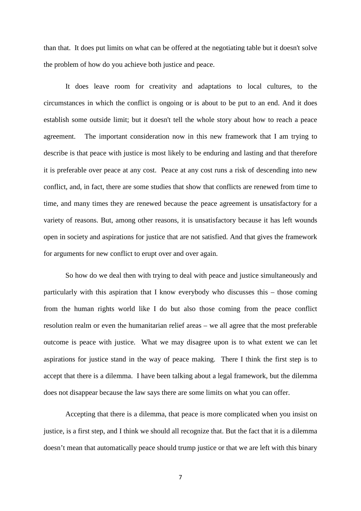than that. It does put limits on what can be offered at the negotiating table but it doesn't solve the problem of how do you achieve both justice and peace.

It does leave room for creativity and adaptations to local cultures, to the circumstances in which the conflict is ongoing or is about to be put to an end. And it does establish some outside limit; but it doesn't tell the whole story about how to reach a peace agreement. The important consideration now in this new framework that I am trying to describe is that peace with justice is most likely to be enduring and lasting and that therefore it is preferable over peace at any cost. Peace at any cost runs a risk of descending into new conflict, and, in fact, there are some studies that show that conflicts are renewed from time to time, and many times they are renewed because the peace agreement is unsatisfactory for a variety of reasons. But, among other reasons, it is unsatisfactory because it has left wounds open in society and aspirations for justice that are not satisfied. And that gives the framework for arguments for new conflict to erupt over and over again.

So how do we deal then with trying to deal with peace and justice simultaneously and particularly with this aspiration that I know everybody who discusses this – those coming from the human rights world like I do but also those coming from the peace conflict resolution realm or even the humanitarian relief areas – we all agree that the most preferable outcome is peace with justice. What we may disagree upon is to what extent we can let aspirations for justice stand in the way of peace making. There I think the first step is to accept that there is a dilemma. I have been talking about a legal framework, but the dilemma does not disappear because the law says there are some limits on what you can offer.

Accepting that there is a dilemma, that peace is more complicated when you insist on justice, is a first step, and I think we should all recognize that. But the fact that it is a dilemma doesn't mean that automatically peace should trump justice or that we are left with this binary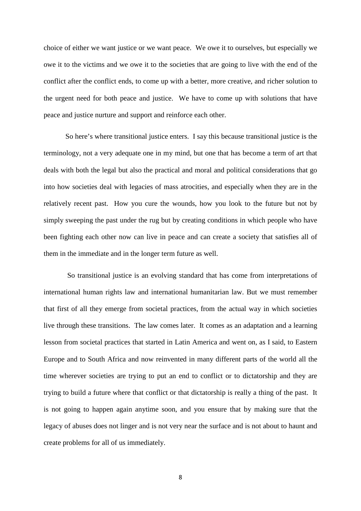choice of either we want justice or we want peace. We owe it to ourselves, but especially we owe it to the victims and we owe it to the societies that are going to live with the end of the conflict after the conflict ends, to come up with a better, more creative, and richer solution to the urgent need for both peace and justice. We have to come up with solutions that have peace and justice nurture and support and reinforce each other.

So here's where transitional justice enters. I say this because transitional justice is the terminology, not a very adequate one in my mind, but one that has become a term of art that deals with both the legal but also the practical and moral and political considerations that go into how societies deal with legacies of mass atrocities, and especially when they are in the relatively recent past. How you cure the wounds, how you look to the future but not by simply sweeping the past under the rug but by creating conditions in which people who have been fighting each other now can live in peace and can create a society that satisfies all of them in the immediate and in the longer term future as well.

So transitional justice is an evolving standard that has come from interpretations of international human rights law and international humanitarian law. But we must remember that first of all they emerge from societal practices, from the actual way in which societies live through these transitions. The law comes later. It comes as an adaptation and a learning lesson from societal practices that started in Latin America and went on, as I said, to Eastern Europe and to South Africa and now reinvented in many different parts of the world all the time wherever societies are trying to put an end to conflict or to dictatorship and they are trying to build a future where that conflict or that dictatorship is really a thing of the past. It is not going to happen again anytime soon, and you ensure that by making sure that the legacy of abuses does not linger and is not very near the surface and is not about to haunt and create problems for all of us immediately.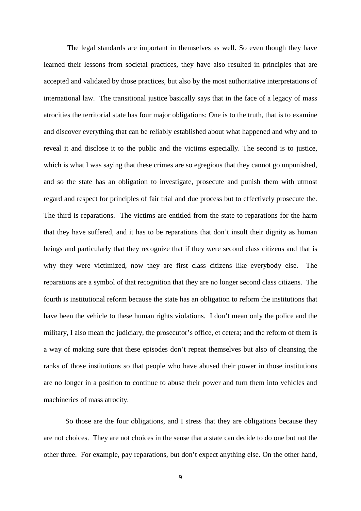The legal standards are important in themselves as well. So even though they have learned their lessons from societal practices, they have also resulted in principles that are accepted and validated by those practices, but also by the most authoritative interpretations of international law. The transitional justice basically says that in the face of a legacy of mass atrocities the territorial state has four major obligations: One is to the truth, that is to examine and discover everything that can be reliably established about what happened and why and to reveal it and disclose it to the public and the victims especially. The second is to justice, which is what I was saying that these crimes are so egregious that they cannot go unpunished, and so the state has an obligation to investigate, prosecute and punish them with utmost regard and respect for principles of fair trial and due process but to effectively prosecute the. The third is reparations. The victims are entitled from the state to reparations for the harm that they have suffered, and it has to be reparations that don't insult their dignity as human beings and particularly that they recognize that if they were second class citizens and that is why they were victimized, now they are first class citizens like everybody else. The reparations are a symbol of that recognition that they are no longer second class citizens. The fourth is institutional reform because the state has an obligation to reform the institutions that have been the vehicle to these human rights violations. I don't mean only the police and the military, I also mean the judiciary, the prosecutor's office, et cetera; and the reform of them is a way of making sure that these episodes don't repeat themselves but also of cleansing the ranks of those institutions so that people who have abused their power in those institutions are no longer in a position to continue to abuse their power and turn them into vehicles and machineries of mass atrocity.

So those are the four obligations, and I stress that they are obligations because they are not choices. They are not choices in the sense that a state can decide to do one but not the other three. For example, pay reparations, but don't expect anything else. On the other hand,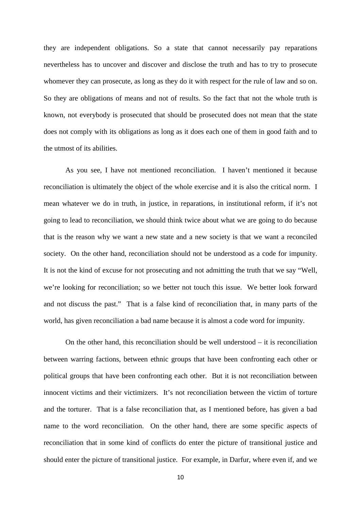they are independent obligations. So a state that cannot necessarily pay reparations nevertheless has to uncover and discover and disclose the truth and has to try to prosecute whomever they can prosecute, as long as they do it with respect for the rule of law and so on. So they are obligations of means and not of results. So the fact that not the whole truth is known, not everybody is prosecuted that should be prosecuted does not mean that the state does not comply with its obligations as long as it does each one of them in good faith and to the utmost of its abilities.

As you see, I have not mentioned reconciliation. I haven't mentioned it because reconciliation is ultimately the object of the whole exercise and it is also the critical norm. I mean whatever we do in truth, in justice, in reparations, in institutional reform, if it's not going to lead to reconciliation, we should think twice about what we are going to do because that is the reason why we want a new state and a new society is that we want a reconciled society. On the other hand, reconciliation should not be understood as a code for impunity. It is not the kind of excuse for not prosecuting and not admitting the truth that we say "Well, we're looking for reconciliation; so we better not touch this issue. We better look forward and not discuss the past." That is a false kind of reconciliation that, in many parts of the world, has given reconciliation a bad name because it is almost a code word for impunity.

On the other hand, this reconciliation should be well understood – it is reconciliation between warring factions, between ethnic groups that have been confronting each other or political groups that have been confronting each other. But it is not reconciliation between innocent victims and their victimizers. It's not reconciliation between the victim of torture and the torturer. That is a false reconciliation that, as I mentioned before, has given a bad name to the word reconciliation. On the other hand, there are some specific aspects of reconciliation that in some kind of conflicts do enter the picture of transitional justice and should enter the picture of transitional justice. For example, in Darfur, where even if, and we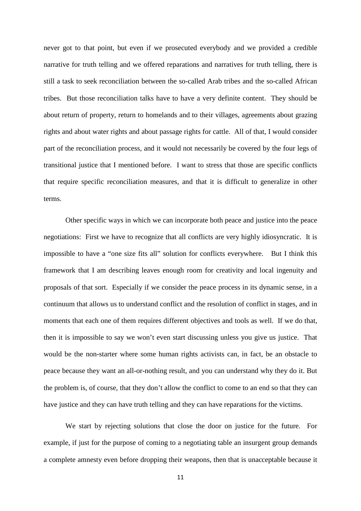never got to that point, but even if we prosecuted everybody and we provided a credible narrative for truth telling and we offered reparations and narratives for truth telling, there is still a task to seek reconciliation between the so-called Arab tribes and the so-called African tribes. But those reconciliation talks have to have a very definite content. They should be about return of property, return to homelands and to their villages, agreements about grazing rights and about water rights and about passage rights for cattle. All of that, I would consider part of the reconciliation process, and it would not necessarily be covered by the four legs of transitional justice that I mentioned before. I want to stress that those are specific conflicts that require specific reconciliation measures, and that it is difficult to generalize in other terms.

Other specific ways in which we can incorporate both peace and justice into the peace negotiations: First we have to recognize that all conflicts are very highly idiosyncratic. It is impossible to have a "one size fits all" solution for conflicts everywhere. But I think this framework that I am describing leaves enough room for creativity and local ingenuity and proposals of that sort. Especially if we consider the peace process in its dynamic sense, in a continuum that allows us to understand conflict and the resolution of conflict in stages, and in moments that each one of them requires different objectives and tools as well. If we do that, then it is impossible to say we won't even start discussing unless you give us justice. That would be the non-starter where some human rights activists can, in fact, be an obstacle to peace because they want an all-or-nothing result, and you can understand why they do it. But the problem is, of course, that they don't allow the conflict to come to an end so that they can have justice and they can have truth telling and they can have reparations for the victims.

We start by rejecting solutions that close the door on justice for the future. For example, if just for the purpose of coming to a negotiating table an insurgent group demands a complete amnesty even before dropping their weapons, then that is unacceptable because it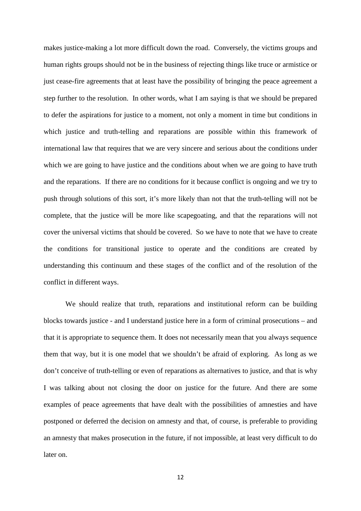makes justice-making a lot more difficult down the road. Conversely, the victims groups and human rights groups should not be in the business of rejecting things like truce or armistice or just cease-fire agreements that at least have the possibility of bringing the peace agreement a step further to the resolution. In other words, what I am saying is that we should be prepared to defer the aspirations for justice to a moment, not only a moment in time but conditions in which justice and truth-telling and reparations are possible within this framework of international law that requires that we are very sincere and serious about the conditions under which we are going to have justice and the conditions about when we are going to have truth and the reparations. If there are no conditions for it because conflict is ongoing and we try to push through solutions of this sort, it's more likely than not that the truth-telling will not be complete, that the justice will be more like scapegoating, and that the reparations will not cover the universal victims that should be covered. So we have to note that we have to create the conditions for transitional justice to operate and the conditions are created by understanding this continuum and these stages of the conflict and of the resolution of the conflict in different ways.

We should realize that truth, reparations and institutional reform can be building blocks towards justice - and I understand justice here in a form of criminal prosecutions – and that it is appropriate to sequence them. It does not necessarily mean that you always sequence them that way, but it is one model that we shouldn't be afraid of exploring. As long as we don't conceive of truth-telling or even of reparations as alternatives to justice, and that is why I was talking about not closing the door on justice for the future. And there are some examples of peace agreements that have dealt with the possibilities of amnesties and have postponed or deferred the decision on amnesty and that, of course, is preferable to providing an amnesty that makes prosecution in the future, if not impossible, at least very difficult to do later on.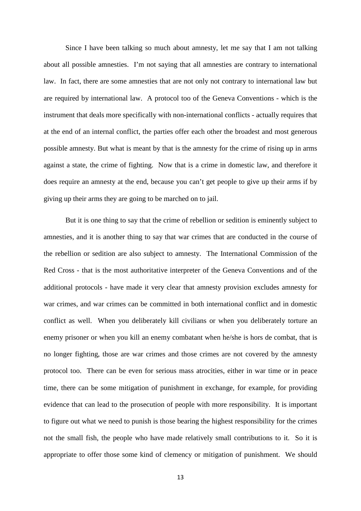Since I have been talking so much about amnesty, let me say that I am not talking about all possible amnesties. I'm not saying that all amnesties are contrary to international law. In fact, there are some amnesties that are not only not contrary to international law but are required by international law. A protocol too of the Geneva Conventions - which is the instrument that deals more specifically with non-international conflicts - actually requires that at the end of an internal conflict, the parties offer each other the broadest and most generous possible amnesty. But what is meant by that is the amnesty for the crime of rising up in arms against a state, the crime of fighting. Now that is a crime in domestic law, and therefore it does require an amnesty at the end, because you can't get people to give up their arms if by giving up their arms they are going to be marched on to jail.

But it is one thing to say that the crime of rebellion or sedition is eminently subject to amnesties, and it is another thing to say that war crimes that are conducted in the course of the rebellion or sedition are also subject to amnesty. The International Commission of the Red Cross - that is the most authoritative interpreter of the Geneva Conventions and of the additional protocols - have made it very clear that amnesty provision excludes amnesty for war crimes, and war crimes can be committed in both international conflict and in domestic conflict as well. When you deliberately kill civilians or when you deliberately torture an enemy prisoner or when you kill an enemy combatant when he/she is hors de combat, that is no longer fighting, those are war crimes and those crimes are not covered by the amnesty protocol too. There can be even for serious mass atrocities, either in war time or in peace time, there can be some mitigation of punishment in exchange, for example, for providing evidence that can lead to the prosecution of people with more responsibility. It is important to figure out what we need to punish is those bearing the highest responsibility for the crimes not the small fish, the people who have made relatively small contributions to it. So it is appropriate to offer those some kind of clemency or mitigation of punishment. We should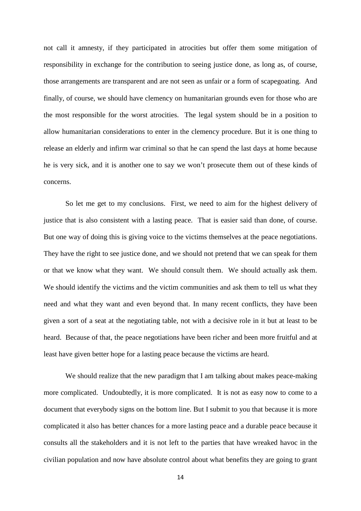not call it amnesty, if they participated in atrocities but offer them some mitigation of responsibility in exchange for the contribution to seeing justice done, as long as, of course, those arrangements are transparent and are not seen as unfair or a form of scapegoating. And finally, of course, we should have clemency on humanitarian grounds even for those who are the most responsible for the worst atrocities. The legal system should be in a position to allow humanitarian considerations to enter in the clemency procedure. But it is one thing to release an elderly and infirm war criminal so that he can spend the last days at home because he is very sick, and it is another one to say we won't prosecute them out of these kinds of concerns.

So let me get to my conclusions. First, we need to aim for the highest delivery of justice that is also consistent with a lasting peace. That is easier said than done, of course. But one way of doing this is giving voice to the victims themselves at the peace negotiations. They have the right to see justice done, and we should not pretend that we can speak for them or that we know what they want. We should consult them. We should actually ask them. We should identify the victims and the victim communities and ask them to tell us what they need and what they want and even beyond that. In many recent conflicts, they have been given a sort of a seat at the negotiating table, not with a decisive role in it but at least to be heard. Because of that, the peace negotiations have been richer and been more fruitful and at least have given better hope for a lasting peace because the victims are heard.

We should realize that the new paradigm that I am talking about makes peace-making more complicated. Undoubtedly, it is more complicated. It is not as easy now to come to a document that everybody signs on the bottom line. But I submit to you that because it is more complicated it also has better chances for a more lasting peace and a durable peace because it consults all the stakeholders and it is not left to the parties that have wreaked havoc in the civilian population and now have absolute control about what benefits they are going to grant